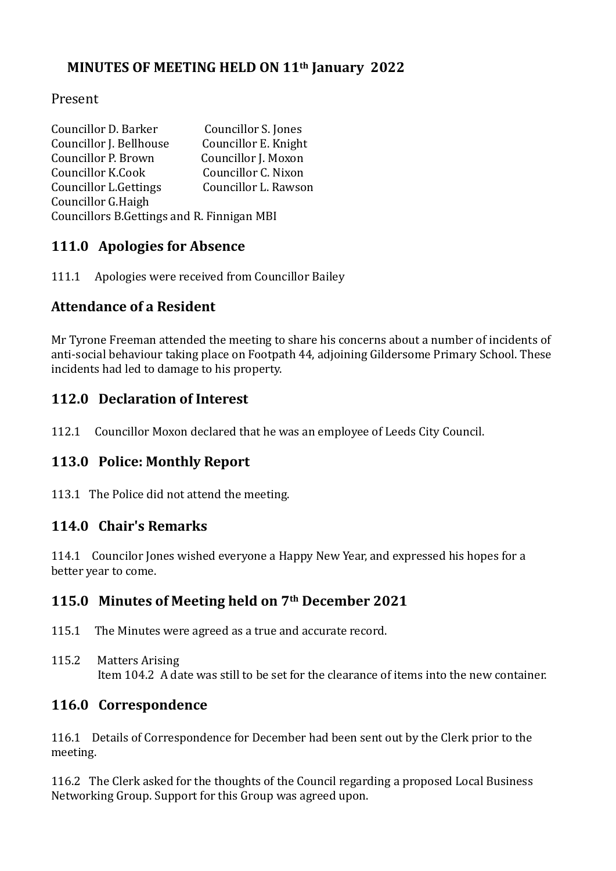## **MINUTES OF MEETING HELD ON 11th January 2022**

#### Present

| Councillor D. Barker                        | Councillor S. Jones  |  |
|---------------------------------------------|----------------------|--|
| Councillor J. Bellhouse                     | Councillor E. Knight |  |
| Councillor P. Brown                         | Councillor J. Moxon  |  |
| Councillor K.Cook                           | Councillor C. Nixon  |  |
| <b>Councillor L.Gettings</b>                | Councillor L. Rawson |  |
| Councillor G.Haigh                          |                      |  |
| Councillors B. Gettings and R. Finnigan MBI |                      |  |

# **111.0 Apologies for Absence**

111.1 Apologies were received from Councillor Bailey

## **Attendance of a Resident**

Mr Tyrone Freeman attended the meeting to share his concerns about a number of incidents of anti-social behaviour taking place on Footpath 44, adjoining Gildersome Primary School. These incidents had led to damage to his property.

## **112.0 Declaration of Interest**

112.1 Councillor Moxon declared that he was an employee of Leeds City Council.

## **113.0 Police: Monthly Report**

113.1 The Police did not attend the meeting.

## **114.0 Chair's Remarks**

114.1 Councilor Jones wished everyone a Happy New Year, and expressed his hopes for a better year to come.

## **115.0 Minutes of Meeting held on 7th December 2021**

- 115.1 The Minutes were agreed as a true and accurate record.
- 115.2 Matters Arising Item 104.2 A date was still to be set for the clearance of items into the new container.

## **116.0 Correspondence**

116.1 Details of Correspondence for December had been sent out by the Clerk prior to the meeting.

116.2 The Clerk asked for the thoughts of the Council regarding a proposed Local Business Networking Group. Support for this Group was agreed upon.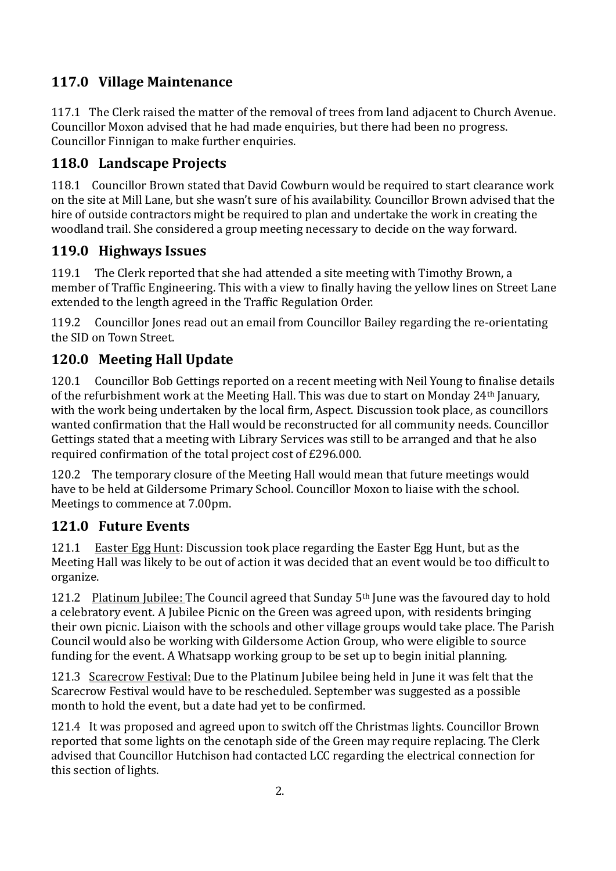# **117.0 Village Maintenance**

117.1 The Clerk raised the matter of the removal of trees from land adjacent to Church Avenue. Councillor Moxon advised that he had made enquiries, but there had been no progress. Councillor Finnigan to make further enquiries.

## **118.0 Landscape Projects**

118.1 Councillor Brown stated that David Cowburn would be required to start clearance work on the site at Mill Lane, but she wasn't sure of his availability. Councillor Brown advised that the hire of outside contractors might be required to plan and undertake the work in creating the woodland trail. She considered a group meeting necessary to decide on the way forward.

## **119.0 Highways Issues**

119.1 The Clerk reported that she had attended a site meeting with Timothy Brown, a member of Traffic Engineering. This with a view to finally having the yellow lines on Street Lane extended to the length agreed in the Traffic Regulation Order.

119.2 Councillor Jones read out an email from Councillor Bailey regarding the re-orientating the SID on Town Street.

## **120.0 Meeting Hall Update**

120.1 Councillor Bob Gettings reported on a recent meeting with Neil Young to finalise details of the refurbishment work at the Meeting Hall. This was due to start on Monday 24th January, with the work being undertaken by the local firm, Aspect. Discussion took place, as councillors wanted confirmation that the Hall would be reconstructed for all community needs. Councillor Gettings stated that a meeting with Library Services was still to be arranged and that he also required confirmation of the total project cost of £296.000.

120.2 The temporary closure of the Meeting Hall would mean that future meetings would have to be held at Gildersome Primary School. Councillor Moxon to liaise with the school. Meetings to commence at 7.00pm.

## **121.0 Future Events**

121.1 Easter Egg Hunt: Discussion took place regarding the Easter Egg Hunt, but as the Meeting Hall was likely to be out of action it was decided that an event would be too difficult to organize.

121.2 Platinum Jubilee: The Council agreed that Sunday  $5<sup>th</sup>$  June was the favoured day to hold a celebratory event. A Jubilee Picnic on the Green was agreed upon, with residents bringing their own picnic. Liaison with the schools and other village groups would take place. The Parish Council would also be working with Gildersome Action Group, who were eligible to source funding for the event. A Whatsapp working group to be set up to begin initial planning.

121.3 Scarecrow Festival: Due to the Platinum Jubilee being held in June it was felt that the Scarecrow Festival would have to be rescheduled. September was suggested as a possible month to hold the event, but a date had yet to be confirmed.

121.4 It was proposed and agreed upon to switch off the Christmas lights. Councillor Brown reported that some lights on the cenotaph side of the Green may require replacing. The Clerk advised that Councillor Hutchison had contacted LCC regarding the electrical connection for this section of lights.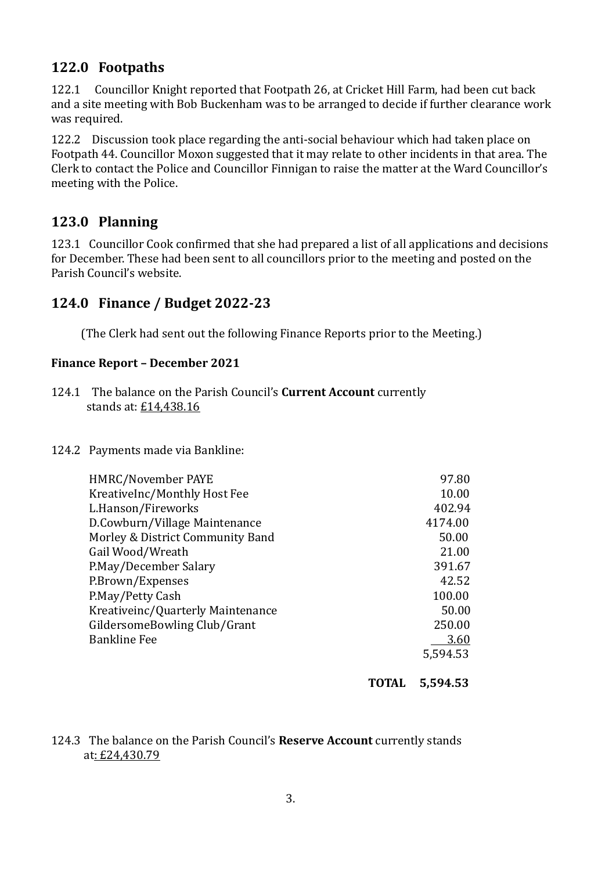## **122.0 Footpaths**

122.1 Councillor Knight reported that Footpath 26, at Cricket Hill Farm, had been cut back and a site meeting with Bob Buckenham was to be arranged to decide if further clearance work was required.

122.2 Discussion took place regarding the anti-social behaviour which had taken place on Footpath 44. Councillor Moxon suggested that it may relate to other incidents in that area. The Clerk to contact the Police and Councillor Finnigan to raise the matter at the Ward Councillor's meeting with the Police.

## **123.0 Planning**

123.1 Councillor Cook confirmed that she had prepared a list of all applications and decisions for December. These had been sent to all councillors prior to the meeting and posted on the Parish Council's website.

## **124.0 Finance / Budget 2022-23**

(The Clerk had sent out the following Finance Reports prior to the Meeting.)

#### **Finance Report – December 2021**

- 124.1 The balance on the Parish Council's **Current Account** currently stands at: £14,438.16
- 124.2 Payments made via Bankline:

| HMRC/November PAYE                | 97.80    |
|-----------------------------------|----------|
| KreativeInc/Monthly Host Fee      | 10.00    |
| L.Hanson/Fireworks                | 402.94   |
| D.Cowburn/Village Maintenance     | 4174.00  |
| Morley & District Community Band  | 50.00    |
| Gail Wood/Wreath                  | 21.00    |
| P.May/December Salary             | 391.67   |
| P.Brown/Expenses                  | 42.52    |
| P.May/Petty Cash                  | 100.00   |
| Kreativeinc/Quarterly Maintenance | 50.00    |
| GildersomeBowling Club/Grant      | 250.00   |
| <b>Bankline Fee</b>               | 3.60     |
|                                   | 5.594.53 |
|                                   |          |

**TOTAL 5,594.53**

#### 124.3 The balance on the Parish Council's **Reserve Account** currently stands at: £24,430.79